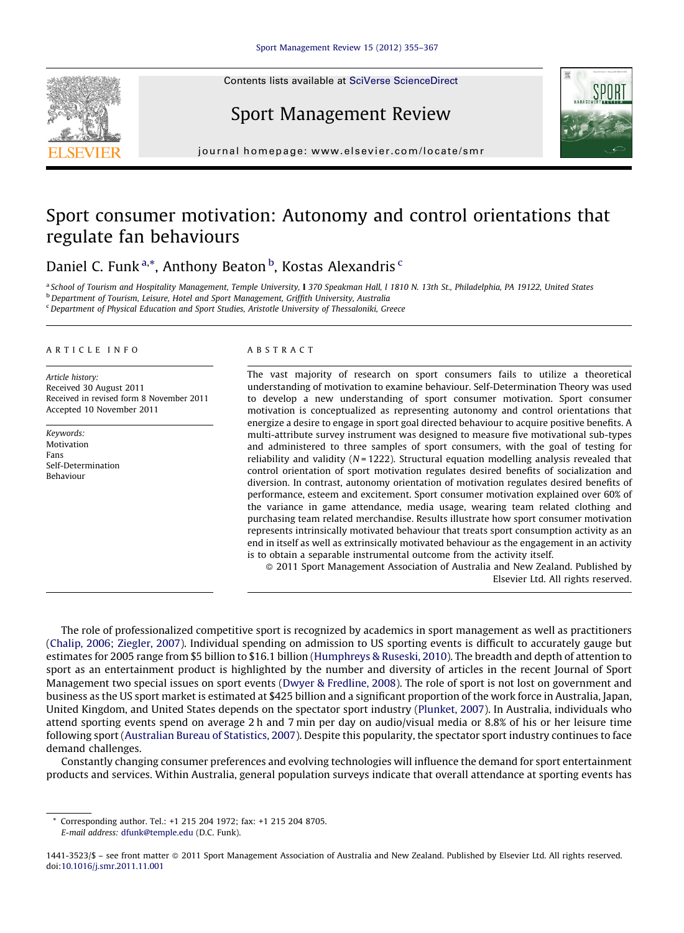Contents lists available at SciVerse [ScienceDirect](http://www.sciencedirect.com/science/journal/14413523)



# Sport Management Review



journal homepage: www.elsevier.com/locate/smr

# Sport consumer motivation: Autonomy and control orientations that regulate fan behaviours

### Daniel C. Funk <sup>a,</sup>\*, Anthony Beaton <sup>b</sup>, Kostas Alexandris <sup>c</sup>

a School of Tourism and Hospitality Management, Temple University, I 370 Speakman Hall, I 1810 N. 13th St., Philadelphia, PA 19122, United States **b** Department of Tourism, Leisure, Hotel and Sport Management, Griffith University, Australia

<sup>c</sup> Department of Physical Education and Sport Studies, Aristotle University of Thessaloniki, Greece

#### A R T I C I E I N E O

Article history: Received 30 August 2011 Received in revised form 8 November 2011 Accepted 10 November 2011

Keywords: Motivation Fans Self-Determination Behaviour

#### A B S T R A C T

The vast majority of research on sport consumers fails to utilize a theoretical understanding of motivation to examine behaviour. Self-Determination Theory was used to develop a new understanding of sport consumer motivation. Sport consumer motivation is conceptualized as representing autonomy and control orientations that energize a desire to engage in sport goal directed behaviour to acquire positive benefits. A multi-attribute survey instrument was designed to measure five motivational sub-types and administered to three samples of sport consumers, with the goal of testing for reliability and validity  $(N = 1222)$ . Structural equation modelling analysis revealed that control orientation of sport motivation regulates desired benefits of socialization and diversion. In contrast, autonomy orientation of motivation regulates desired benefits of performance, esteem and excitement. Sport consumer motivation explained over 60% of the variance in game attendance, media usage, wearing team related clothing and purchasing team related merchandise. Results illustrate how sport consumer motivation represents intrinsically motivated behaviour that treats sport consumption activity as an end in itself as well as extrinsically motivated behaviour as the engagement in an activity is to obtain a separable instrumental outcome from the activity itself.

- 2011 Sport Management Association of Australia and New Zealand. Published by Elsevier Ltd. All rights reserved.

The role of professionalized competitive sport is recognized by academics in sport management as well as practitioners (Chalip, 2006; [Ziegler,](#page--1-0) 2007). Individual spending on admission to US sporting events is difficult to accurately gauge but estimates for 2005 range from \$5 billion to \$16.1 billion [\(Humphreys](#page--1-0) & Ruseski, 2010). The breadth and depth of attention to sport as an entertainment product is highlighted by the number and diversity of articles in the recent Journal of Sport Management two special issues on sport events (Dwyer & [Fredline,](#page--1-0) 2008). The role of sport is not lost on government and business as the US sport market is estimated at \$425 billion and a significant proportion of the work force in Australia, Japan, United Kingdom, and United States depends on the spectator sport industry [\(Plunket,](#page--1-0) 2007). In Australia, individuals who attend sporting events spend on average 2 h and 7 min per day on audio/visual media or 8.8% of his or her leisure time following sport [\(Australian](#page--1-0) Bureau of Statistics, 2007). Despite this popularity, the spectator sport industry continues to face demand challenges.

Constantly changing consumer preferences and evolving technologies will influence the demand for sport entertainment products and services. Within Australia, general population surveys indicate that overall attendance at sporting events has

Corresponding author. Tel.: +1 215 204 1972; fax: +1 215 204 8705. E-mail address: [dfunk@temple.edu](mailto:dfunk@temple.edu) (D.C. Funk).

<sup>1441-3523/\$ –</sup> see front matter © 2011 Sport Management Association of Australia and New Zealand. Published by Elsevier Ltd. All rights reserved. doi:[10.1016/j.smr.2011.11.001](http://dx.doi.org/10.1016/j.smr.2011.11.001)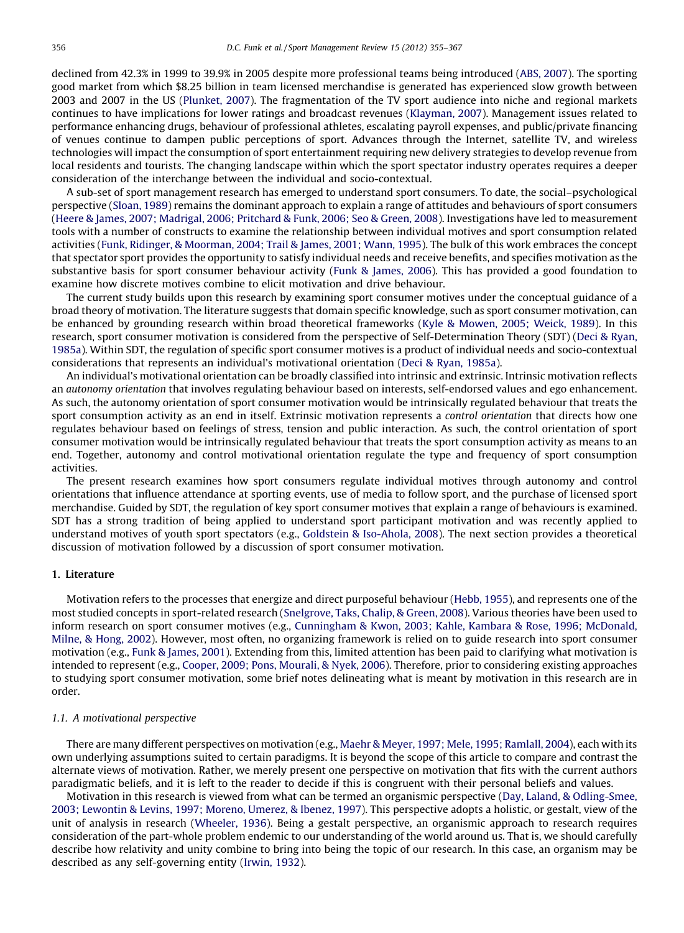declined from 42.3% in 1999 to 39.9% in 2005 despite more professional teams being introduced (ABS, [2007](#page--1-0)). The sporting good market from which \$8.25 billion in team licensed merchandise is generated has experienced slow growth between 2003 and 2007 in the US ([Plunket,](#page--1-0) 2007). The fragmentation of the TV sport audience into niche and regional markets continues to have implications for lower ratings and broadcast revenues [\(Klayman,](#page--1-0) 2007). Management issues related to performance enhancing drugs, behaviour of professional athletes, escalating payroll expenses, and public/private financing of venues continue to dampen public perceptions of sport. Advances through the Internet, satellite TV, and wireless technologies will impact the consumption of sport entertainment requiring new delivery strategies to develop revenue from local residents and tourists. The changing landscape within which the sport spectator industry operates requires a deeper consideration of the interchange between the individual and socio-contextual.

A sub-set of sport management research has emerged to understand sport consumers. To date, the social–psychological perspective ([Sloan,](#page--1-0) 1989) remains the dominant approach to explain a range of attitudes and behaviours of sport consumers (Heere & James, 2007; [Madrigal,](#page--1-0) 2006; Pritchard & Funk, 2006; Seo & Green, 2008). Investigations have led to measurement tools with a number of constructs to examine the relationship between individual motives and sport consumption related activities (Funk, Ridinger, & [Moorman,](#page--1-0) 2004; Trail & James, 2001; Wann, 1995). The bulk of this work embraces the concept that spectator sport provides the opportunity to satisfy individual needs and receive benefits, and specifies motivation as the substantive basis for sport consumer behaviour activity (Funk & [James,](#page--1-0) 2006). This has provided a good foundation to examine how discrete motives combine to elicit motivation and drive behaviour.

The current study builds upon this research by examining sport consumer motives under the conceptual guidance of a broad theory of motivation. The literature suggests that domain specific knowledge, such as sport consumer motivation, can be enhanced by grounding research within broad theoretical frameworks (Kyle & [Mowen,](#page--1-0) 2005; Weick, 1989). In this research, sport consumer motivation is considered from the perspective of Self-Determination Theory (SDT) (Deci & [Ryan,](#page--1-0) [1985a\)](#page--1-0). Within SDT, the regulation of specific sport consumer motives is a product of individual needs and socio-contextual considerations that represents an individual's motivational orientation (Deci & Ryan, [1985a](#page--1-0)).

An individual's motivational orientation can be broadly classified into intrinsic and extrinsic. Intrinsic motivation reflects an autonomy orientation that involves regulating behaviour based on interests, self-endorsed values and ego enhancement. As such, the autonomy orientation of sport consumer motivation would be intrinsically regulated behaviour that treats the sport consumption activity as an end in itself. Extrinsic motivation represents a control orientation that directs how one regulates behaviour based on feelings of stress, tension and public interaction. As such, the control orientation of sport consumer motivation would be intrinsically regulated behaviour that treats the sport consumption activity as means to an end. Together, autonomy and control motivational orientation regulate the type and frequency of sport consumption activities.

The present research examines how sport consumers regulate individual motives through autonomy and control orientations that influence attendance at sporting events, use of media to follow sport, and the purchase of licensed sport merchandise. Guided by SDT, the regulation of key sport consumer motives that explain a range of behaviours is examined. SDT has a strong tradition of being applied to understand sport participant motivation and was recently applied to understand motives of youth sport spectators (e.g., Goldstein & [Iso-Ahola,](#page--1-0) 2008). The next section provides a theoretical discussion of motivation followed by a discussion of sport consumer motivation.

#### 1. Literature

Motivation refers to the processes that energize and direct purposeful behaviour ([Hebb,](#page--1-0) 1955), and represents one of the most studied concepts in sport-related research [\(Snelgrove,](#page--1-0) Taks, Chalip, & Green, 2008). Various theories have been used to inform research on sport consumer motives (e.g., [Cunningham](#page--1-0) & Kwon, 2003; Kahle, Kambara & Rose, 1996; McDonald, [Milne,](#page--1-0) & Hong, 2002). However, most often, no organizing framework is relied on to guide research into sport consumer motivation (e.g., Funk & [James,](#page--1-0) 2001). Extending from this, limited attention has been paid to clarifying what motivation is intended to represent (e.g., Cooper, 2009; Pons, [Mourali,](#page--1-0) & Nyek, 2006). Therefore, prior to considering existing approaches to studying sport consumer motivation, some brief notes delineating what is meant by motivation in this research are in order.

#### 1.1. A motivational perspective

There are many different perspectives on motivation (e.g., Maehr & Meyer, 1997; Mele, 1995; [Ramlall,](#page--1-0) 2004), each with its own underlying assumptions suited to certain paradigms. It is beyond the scope of this article to compare and contrast the alternate views of motivation. Rather, we merely present one perspective on motivation that fits with the current authors paradigmatic beliefs, and it is left to the reader to decide if this is congruent with their personal beliefs and values.

Motivation in this research is viewed from what can be termed an organismic perspective (Day, Laland, & [Odling-Smee,](#page--1-0) 2003; [Lewontin](#page--1-0) & Levins, 1997; Moreno, Umerez, & Ibenez, 1997). This perspective adopts a holistic, or gestalt, view of the unit of analysis in research [\(Wheeler,](#page--1-0) 1936). Being a gestalt perspective, an organismic approach to research requires consideration of the part-whole problem endemic to our understanding of the world around us. That is, we should carefully describe how relativity and unity combine to bring into being the topic of our research. In this case, an organism may be described as any self-governing entity [\(Irwin,](#page--1-0) 1932).